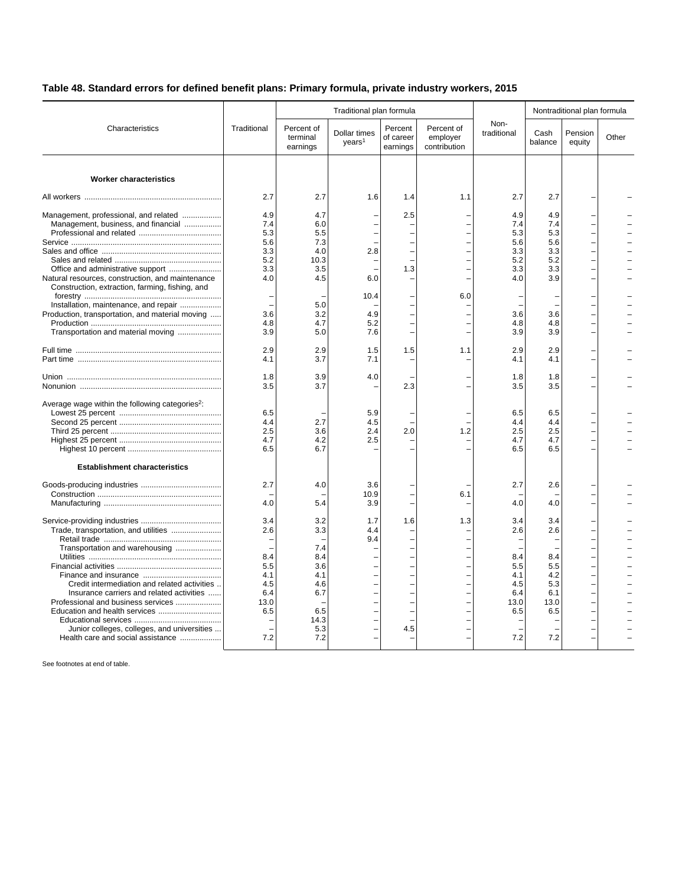## **Table 48. Standard errors for defined benefit plans: Primary formula, private industry workers, 2015**

|                                                             |             |                                    |                                    | Nontraditional plan formula      |                                        |                     |                 |                   |       |
|-------------------------------------------------------------|-------------|------------------------------------|------------------------------------|----------------------------------|----------------------------------------|---------------------|-----------------|-------------------|-------|
| Characteristics                                             | Traditional | Percent of<br>terminal<br>earnings | Dollar times<br>years <sup>1</sup> | Percent<br>of career<br>earnings | Percent of<br>employer<br>contribution | Non-<br>traditional | Cash<br>balance | Pension<br>equity | Other |
| <b>Worker characteristics</b>                               |             |                                    |                                    |                                  |                                        |                     |                 |                   |       |
|                                                             | 2.7         | 2.7                                | 1.6                                | 1.4                              | 1.1                                    | 2.7                 | 2.7             |                   |       |
| Management, professional, and related                       | 4.9         | 4.7                                |                                    | 2.5                              |                                        | 4.9                 | 4.9             |                   |       |
| Management, business, and financial                         | 7.4         | 6.0                                |                                    |                                  |                                        | 7.4                 | 7.4             |                   |       |
|                                                             | 5.3         | 5.5                                |                                    |                                  |                                        | 5.3                 | 5.3             |                   |       |
|                                                             | 5.6         | 7.3                                |                                    |                                  |                                        | 5.6                 | 5.6             |                   |       |
|                                                             | 3.3         | 4.0                                | 2.8                                |                                  |                                        | 3.3                 | 3.3             |                   |       |
|                                                             | 5.2         | 10.3                               |                                    |                                  |                                        | 5.2                 | 5.2             |                   |       |
| Office and administrative support                           | 3.3         | 3.5                                |                                    | 1.3                              |                                        | 3.3                 | 3.3             |                   |       |
| Natural resources, construction, and maintenance            | 4.0         | 4.5                                | 6.0                                |                                  |                                        | 4.0                 | 3.9             |                   |       |
| Construction, extraction, farming, fishing, and             |             |                                    |                                    |                                  |                                        |                     |                 |                   |       |
|                                                             |             |                                    | 10.4                               |                                  | 6.0                                    |                     |                 |                   |       |
| Installation, maintenance, and repair                       |             | 5.0                                |                                    |                                  |                                        |                     |                 |                   |       |
| Production, transportation, and material moving             | 3.6         | 3.2                                | 4.9                                |                                  |                                        | 3.6                 | 3.6             |                   |       |
|                                                             | 4.8         | 4.7                                | 5.2                                |                                  |                                        | 4.8                 | 4.8             |                   |       |
| Transportation and material moving                          | 3.9         | 5.0                                | 7.6                                |                                  |                                        | 3.9                 | 3.9             |                   |       |
|                                                             | 2.9         | 2.9                                | 1.5                                | 1.5                              | 1.1                                    | 2.9                 | 2.9             |                   |       |
|                                                             | 4.1         | 3.7                                | 7.1                                |                                  |                                        | 4.1                 | 4.1             |                   |       |
|                                                             |             |                                    |                                    |                                  |                                        |                     |                 |                   |       |
|                                                             | 1.8         | 3.9                                | 4.0                                |                                  |                                        | 1.8                 | 1.8             |                   |       |
|                                                             | 3.5         | 3.7                                |                                    | 2.3                              |                                        | 3.5                 | 3.5             |                   |       |
| Average wage within the following categories <sup>2</sup> : |             |                                    |                                    |                                  |                                        |                     |                 |                   |       |
|                                                             | 6.5         |                                    | 5.9                                |                                  |                                        | 6.5                 | 6.5             |                   |       |
|                                                             | 4.4         | 2.7                                | 4.5                                |                                  |                                        | 4.4                 | 4.4             |                   |       |
|                                                             | 2.5         | 3.6                                | 2.4                                | 2.0                              | 1.2                                    | 2.5                 | 2.5             |                   |       |
|                                                             | 4.7         | 4.2                                | 2.5                                |                                  |                                        | 4.7                 | 4.7             |                   |       |
|                                                             | 6.5         | 6.7                                |                                    |                                  |                                        | 6.5                 | 6.5             |                   |       |
| <b>Establishment characteristics</b>                        |             |                                    |                                    |                                  |                                        |                     |                 |                   |       |
|                                                             | 2.7         | 4.0                                | 3.6                                |                                  |                                        | 2.7                 | 2.6             |                   |       |
|                                                             |             |                                    | 10.9                               |                                  | 6.1                                    |                     |                 |                   |       |
|                                                             | 4.0         | 5.4                                | 3.9                                |                                  |                                        | 4.0                 | 4.0             |                   |       |
|                                                             | 3.4         | 3.2                                | 1.7                                | 1.6                              | 1.3                                    | 3.4                 | 3.4             |                   |       |
| Trade, transportation, and utilities                        | 2.6         | 3.3                                | 4.4                                |                                  |                                        | 2.6                 | 2.6             |                   |       |
|                                                             |             |                                    | 9.4                                |                                  |                                        |                     |                 |                   |       |
| Transportation and warehousing                              |             | 7.4                                |                                    |                                  |                                        |                     |                 |                   |       |
|                                                             | 8.4         | 8.4                                |                                    |                                  |                                        | 8.4                 | 8.4             |                   |       |
|                                                             | 5.5         | 3.6                                |                                    |                                  |                                        | 5.5                 | 5.5             |                   |       |
|                                                             | 4.1         | 4.1                                |                                    |                                  |                                        | 4.1                 | 4.2             |                   |       |
| Credit intermediation and related activities                | 4.5         | 4.6                                |                                    |                                  |                                        | 4.5                 | 5.3             |                   |       |
| Insurance carriers and related activities                   | 6.4         | 6.7                                |                                    |                                  |                                        | 6.4                 | 6.1             |                   |       |
| Professional and business services                          | 13.0        |                                    |                                    |                                  |                                        | 13.0                | 13.0            |                   |       |
|                                                             | 6.5         | 6.5                                |                                    |                                  |                                        | 6.5                 | 6.5             |                   |       |
|                                                             |             | 14.3                               |                                    |                                  |                                        |                     |                 |                   |       |
| Junior colleges, colleges, and universities                 |             | 5.3                                |                                    | 4.5                              |                                        |                     |                 |                   |       |
| Health care and social assistance                           | 7.2         | 7.2                                |                                    |                                  |                                        | 7.2                 | 7.2             |                   |       |
|                                                             |             |                                    |                                    |                                  |                                        |                     |                 |                   |       |

See footnotes at end of table.